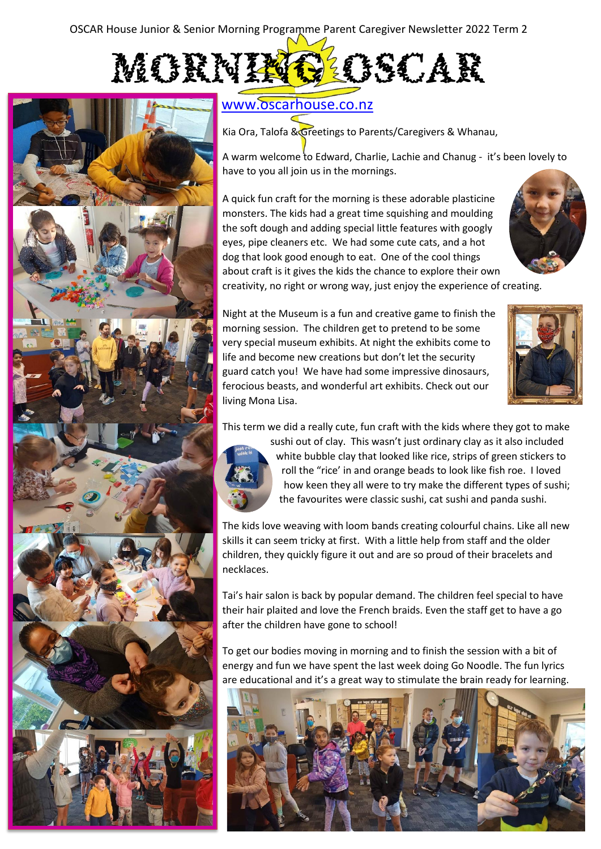



# [www.oscarhouse.co.nz](http://www.oscarhouse.co.nz/)

Kia Ora, Talofa & Greetings to Parents/Caregivers & Whanau,

A warm welcome to Edward, Charlie, Lachie and Chanug - it's been lovely to have to you all join us in the mornings.

A quick fun craft for the morning is these adorable plasticine monsters. The kids had a great time squishing and moulding the soft dough and adding special little features with googly eyes, pipe cleaners etc. We had some cute cats, and a hot dog that look good enough to eat. One of the cool things about craft is it gives the kids the chance to explore their own



creativity, no right or wrong way, just enjoy the experience of creating.

Night at the Museum is a fun and creative game to finish the morning session. The children get to pretend to be some very special museum exhibits. At night the exhibits come to life and become new creations but don't let the security guard catch you! We have had some impressive dinosaurs, ferocious beasts, and wonderful art exhibits. Check out our living Mona Lisa.



This term we did a really cute, fun craft with the kids where they got to make



sushi out of clay. This wasn't just ordinary clay as it also included white bubble clay that looked like rice, strips of green stickers to roll the "rice' in and orange beads to look like fish roe. I loved how keen they all were to try make the different types of sushi; the favourites were classic sushi, cat sushi and panda sushi.

The kids love weaving with loom bands creating colourful chains. Like all new skills it can seem tricky at first. With a little help from staff and the older children, they quickly figure it out and are so proud of their bracelets and necklaces.

Tai's hair salon is back by popular demand. The children feel special to have their hair plaited and love the French braids. Even the staff get to have a go after the children have gone to school!

To get our bodies moving in morning and to finish the session with a bit of energy and fun we have spent the last week doing Go Noodle. The fun lyrics are educational and it's a great way to stimulate the brain ready for learning.